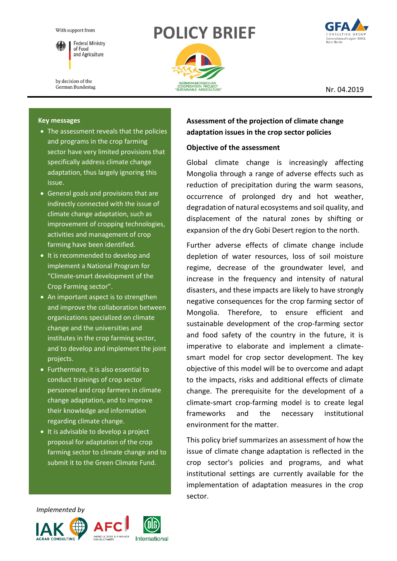

**Federal Ministry** of Food and Agriculture

by decision of the German Bundestag

# **POLICY BRIEF**





Nr. 04.2019

#### **Key messages**

- The assessment reveals that the policies and programs in the crop farming sector have very limited provisions that specifically address climate change adaptation, thus largely ignoring this issue.
- General goals and provisions that are indirectly connected with the issue of climate change adaptation, such as improvement of cropping technologies, activities and management of crop farming have been identified.
- **It is recommended to develop and** implement a National Program for "Climate-smart development of the Crop Farming sector".
- An important aspect is to strengthen and improve the collaboration between organizations specialized on climate change and the universities and institutes in the crop farming sector, and to develop and implement the joint projects.
- Furthermore, it is also essential to conduct trainings of crop sector personnel and crop farmers in climate change adaptation, and to improve their knowledge and information regarding climate change.
- $\bullet$  It is advisable to develop a project proposal for adaptation of the crop farming sector to climate change and to submit it to the Green Climate Fund.

## **Assessment of the projection of climate change adaptation issues in the crop sector policies**

#### **Objective of the assessment**

Global climate change is increasingly affecting Mongolia through a range of adverse effects such as reduction of precipitation during the warm seasons, occurrence of prolonged dry and hot weather, degradation of natural ecosystems and soil quality, and displacement of the natural zones by shifting or expansion of the dry Gobi Desert region to the north.

Further adverse effects of climate change include depletion of water resources, loss of soil moisture regime, decrease of the groundwater level, and increase in the frequency and intensity of natural disasters, and these impacts are likely to have strongly negative consequences for the crop farming sector of Mongolia. Therefore, to ensure efficient and sustainable development of the crop-farming sector and food safety of the country in the future, it is imperative to elaborate and implement a climatesmart model for crop sector development. The key objective of this model will be to overcome and adapt to the impacts, risks and additional effects of climate change. The prerequisite for the development of a climate-smart crop-farming model is to create legal frameworks and the necessary institutional environment for the matter.

This policy brief summarizes an assessment of how the issue of climate change adaptation is reflected in the crop sector's policies and programs, and what institutional settings are currently available for the implementation of adaptation measures in the crop sector.

 *Implemented by*





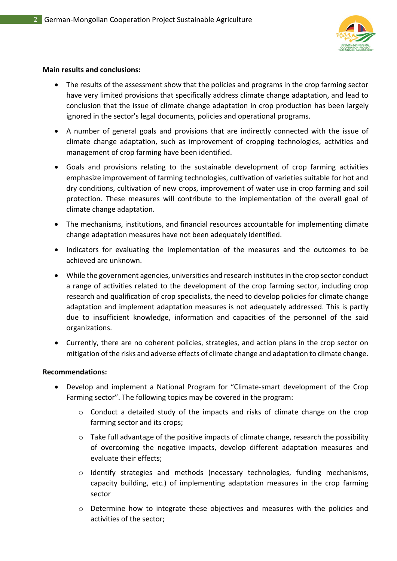

#### **Main results and conclusions:**

- The results of the assessment show that the policies and programs in the crop farming sector have very limited provisions that specifically address climate change adaptation, and lead to conclusion that the issue of climate change adaptation in crop production has been largely ignored in the sector's legal documents, policies and operational programs.
- A number of general goals and provisions that are indirectly connected with the issue of climate change adaptation, such as improvement of cropping technologies, activities and management of crop farming have been identified.
- Goals and provisions relating to the sustainable development of crop farming activities emphasize improvement of farming technologies, cultivation of varieties suitable for hot and dry conditions, cultivation of new crops, improvement of water use in crop farming and soil protection. These measures will contribute to the implementation of the overall goal of climate change adaptation.
- The mechanisms, institutions, and financial resources accountable for implementing climate change adaptation measures have not been adequately identified.
- Indicators for evaluating the implementation of the measures and the outcomes to be achieved are unknown.
- While the government agencies, universities and research institutes in the crop sector conduct a range of activities related to the development of the crop farming sector, including crop research and qualification of crop specialists, the need to develop policies for climate change adaptation and implement adaptation measures is not adequately addressed. This is partly due to insufficient knowledge, information and capacities of the personnel of the said organizations.
- Currently, there are no coherent policies, strategies, and action plans in the crop sector on mitigation of the risks and adverse effects of climate change and adaptation to climate change.

#### **Recommendations:**

- Develop and implement a National Program for "Climate-smart development of the Crop Farming sector". The following topics may be covered in the program:
	- o Conduct a detailed study of the impacts and risks of climate change on the crop farming sector and its crops;
	- $\circ$  Take full advantage of the positive impacts of climate change, research the possibility of overcoming the negative impacts, develop different adaptation measures and evaluate their effects;
	- o Identify strategies and methods (necessary technologies, funding mechanisms, capacity building, etc.) of implementing adaptation measures in the crop farming sector
	- o Determine how to integrate these objectives and measures with the policies and activities of the sector;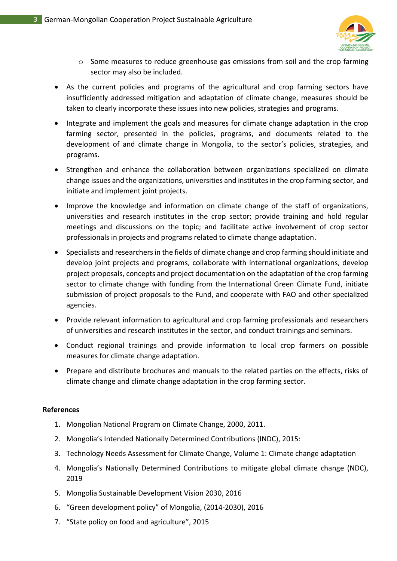

- o Some measures to reduce greenhouse gas emissions from soil and the crop farming sector may also be included.
- As the current policies and programs of the agricultural and crop farming sectors have insufficiently addressed mitigation and adaptation of climate change, measures should be taken to clearly incorporate these issues into new policies, strategies and programs.
- Integrate and implement the goals and measures for climate change adaptation in the crop farming sector, presented in the policies, programs, and documents related to the development of and climate change in Mongolia, to the sector's policies, strategies, and programs.
- Strengthen and enhance the collaboration between organizations specialized on climate change issues and the organizations, universities and institutes in the crop farming sector, and initiate and implement joint projects.
- Improve the knowledge and information on climate change of the staff of organizations, universities and research institutes in the crop sector; provide training and hold regular meetings and discussions on the topic; and facilitate active involvement of crop sector professionals in projects and programs related to climate change adaptation.
- Specialists and researchers in the fields of climate change and crop farming should initiate and develop joint projects and programs, collaborate with international organizations, develop project proposals, concepts and project documentation on the adaptation of the crop farming sector to climate change with funding from the International Green Climate Fund, initiate submission of project proposals to the Fund, and cooperate with FAO and other specialized agencies.
- Provide relevant information to agricultural and crop farming professionals and researchers of universities and research institutes in the sector, and conduct trainings and seminars.
- Conduct regional trainings and provide information to local crop farmers on possible measures for climate change adaptation.
- Prepare and distribute brochures and manuals to the related parties on the effects, risks of climate change and climate change adaptation in the crop farming sector.

#### **References**

- 1. Mongolian National Program on Climate Change, 2000, 2011.
- 2. Mongolia's Intended Nationally Determined Contributions (INDC), 2015:
- 3. Technology Needs Assessment for Climate Change, Volume 1: Climate change adaptation
- 4. Mongolia's Nationally Determined Contributions to mitigate global climate change (NDC), 2019
- 5. Mongolia Sustainable Development Vision 2030, 2016
- 6. "Green development policy" of Mongolia, (2014-2030), 2016
- 7. "State policy on food and agriculture", 2015